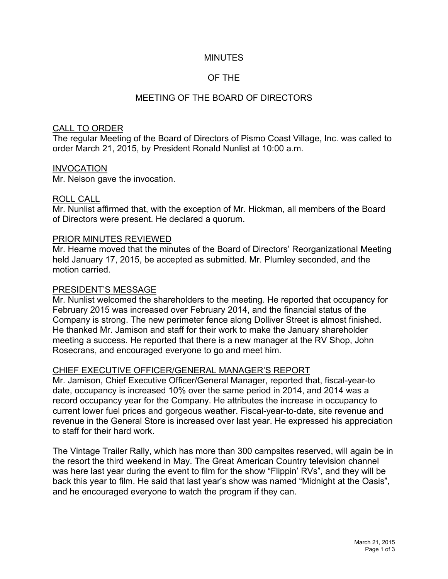### MINUTES

# OF THE

## MEETING OF THE BOARD OF DIRECTORS

#### CALL TO ORDER

The regular Meeting of the Board of Directors of Pismo Coast Village, Inc. was called to order March 21, 2015, by President Ronald Nunlist at 10:00 a.m.

#### INVOCATION

Mr. Nelson gave the invocation.

#### ROLL CALL

Mr. Nunlist affirmed that, with the exception of Mr. Hickman, all members of the Board of Directors were present. He declared a quorum.

#### PRIOR MINUTES REVIEWED

Mr. Hearne moved that the minutes of the Board of Directors' Reorganizational Meeting held January 17, 2015, be accepted as submitted. Mr. Plumley seconded, and the motion carried.

#### PRESIDENT'S MESSAGE

Mr. Nunlist welcomed the shareholders to the meeting. He reported that occupancy for February 2015 was increased over February 2014, and the financial status of the Company is strong. The new perimeter fence along Dolliver Street is almost finished. He thanked Mr. Jamison and staff for their work to make the January shareholder meeting a success. He reported that there is a new manager at the RV Shop, John Rosecrans, and encouraged everyone to go and meet him.

### CHIEF EXECUTIVE OFFICER/GENERAL MANAGER'S REPORT

Mr. Jamison, Chief Executive Officer/General Manager, reported that, fiscal-year-to date, occupancy is increased 10% over the same period in 2014, and 2014 was a record occupancy year for the Company. He attributes the increase in occupancy to current lower fuel prices and gorgeous weather. Fiscal-year-to-date, site revenue and revenue in the General Store is increased over last year. He expressed his appreciation to staff for their hard work.

The Vintage Trailer Rally, which has more than 300 campsites reserved, will again be in the resort the third weekend in May. The Great American Country television channel was here last year during the event to film for the show "Flippin' RVs", and they will be back this year to film. He said that last year's show was named "Midnight at the Oasis", and he encouraged everyone to watch the program if they can.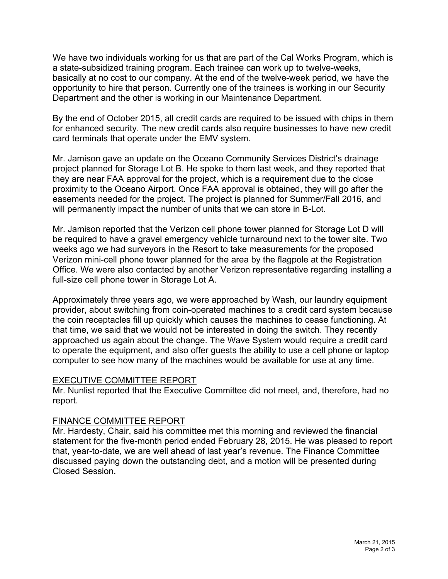We have two individuals working for us that are part of the Cal Works Program, which is a state-subsidized training program. Each trainee can work up to twelve-weeks, basically at no cost to our company. At the end of the twelve-week period, we have the opportunity to hire that person. Currently one of the trainees is working in our Security Department and the other is working in our Maintenance Department.

By the end of October 2015, all credit cards are required to be issued with chips in them for enhanced security. The new credit cards also require businesses to have new credit card terminals that operate under the EMV system.

Mr. Jamison gave an update on the Oceano Community Services District's drainage project planned for Storage Lot B. He spoke to them last week, and they reported that they are near FAA approval for the project, which is a requirement due to the close proximity to the Oceano Airport. Once FAA approval is obtained, they will go after the easements needed for the project. The project is planned for Summer/Fall 2016, and will permanently impact the number of units that we can store in B-Lot.

Mr. Jamison reported that the Verizon cell phone tower planned for Storage Lot D will be required to have a gravel emergency vehicle turnaround next to the tower site. Two weeks ago we had surveyors in the Resort to take measurements for the proposed Verizon mini-cell phone tower planned for the area by the flagpole at the Registration Office. We were also contacted by another Verizon representative regarding installing a full-size cell phone tower in Storage Lot A.

Approximately three years ago, we were approached by Wash, our laundry equipment provider, about switching from coin-operated machines to a credit card system because the coin receptacles fill up quickly which causes the machines to cease functioning. At that time, we said that we would not be interested in doing the switch. They recently approached us again about the change. The Wave System would require a credit card to operate the equipment, and also offer guests the ability to use a cell phone or laptop computer to see how many of the machines would be available for use at any time.

### EXECUTIVE COMMITTEE REPORT

Mr. Nunlist reported that the Executive Committee did not meet, and, therefore, had no report.

# FINANCE COMMITTEE REPORT

Mr. Hardesty, Chair, said his committee met this morning and reviewed the financial statement for the five-month period ended February 28, 2015. He was pleased to report that, year-to-date, we are well ahead of last year's revenue. The Finance Committee discussed paying down the outstanding debt, and a motion will be presented during Closed Session.